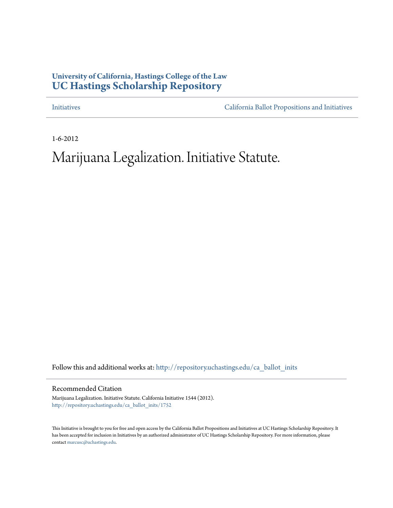### **University of California, Hastings College of the Law [UC Hastings Scholarship Repository](http://repository.uchastings.edu?utm_source=repository.uchastings.edu%2Fca_ballot_inits%2F1752&utm_medium=PDF&utm_campaign=PDFCoverPages)**

[Initiatives](http://repository.uchastings.edu/ca_ballot_inits?utm_source=repository.uchastings.edu%2Fca_ballot_inits%2F1752&utm_medium=PDF&utm_campaign=PDFCoverPages) [California Ballot Propositions and Initiatives](http://repository.uchastings.edu/ca_ballots?utm_source=repository.uchastings.edu%2Fca_ballot_inits%2F1752&utm_medium=PDF&utm_campaign=PDFCoverPages)

1-6-2012

## Marijuana Legalization. Initiative Statute.

Follow this and additional works at: [http://repository.uchastings.edu/ca\\_ballot\\_inits](http://repository.uchastings.edu/ca_ballot_inits?utm_source=repository.uchastings.edu%2Fca_ballot_inits%2F1752&utm_medium=PDF&utm_campaign=PDFCoverPages)

Recommended Citation

Marijuana Legalization. Initiative Statute. California Initiative 1544 (2012). [http://repository.uchastings.edu/ca\\_ballot\\_inits/1752](http://repository.uchastings.edu/ca_ballot_inits/1752?utm_source=repository.uchastings.edu%2Fca_ballot_inits%2F1752&utm_medium=PDF&utm_campaign=PDFCoverPages)

This Initiative is brought to you for free and open access by the California Ballot Propositions and Initiatives at UC Hastings Scholarship Repository. It has been accepted for inclusion in Initiatives by an authorized administrator of UC Hastings Scholarship Repository. For more information, please contact [marcusc@uchastings.edu](mailto:marcusc@uchastings.edu).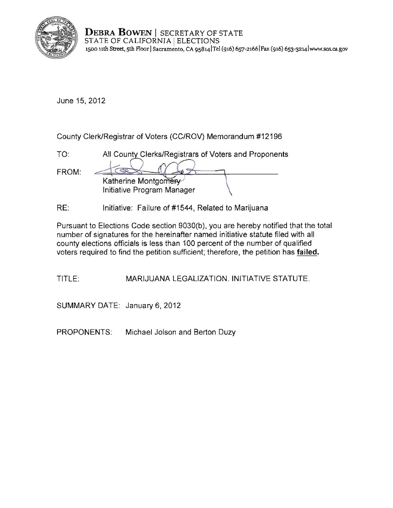

**DEBRA BOWEN** | SECRETARY OF STATE STATE OF CALIFORNIA | ELECTIONS **1500 11th Street, 5th F100r ISacramento, CA 9S8141Tel (916) 657-21661Fax (916) 6S3-32L4 [lwww.sos.cagov](www.sos.ca.gov)** 

June 15, 2012

County Clerk/Registrar of Voters (CC/ROV) Memorandum #12196

| TO.   | All County Clerks/Registrars of Voters and Proponents |
|-------|-------------------------------------------------------|
| FROM: | Katherine Montgomery                                  |
|       | Initiative Program Manager                            |

RE: Initiative: Failure of #1544, Related to Marijuana

Pursuant to Elections Code section 9030(b), you are hereby notified that the total number of signatures for the hereinafter named initiative statute filed with all county elections officials is less than 100 percent of the number of qualified voters required to find the petition sufficient; therefore, the petition has failed.

TITLE: MARIJUANA LEGALIZATION. INITIATIVE STATUTE.

SUMMARY DATE: January 6,2012

PROPONENTS: Michael Jolson and Berton Duzy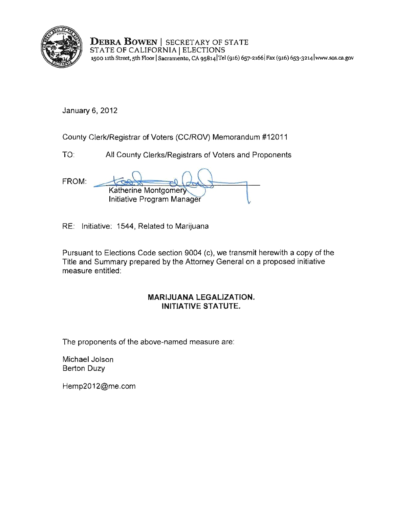

**DEBRA BOWEN** I SECRETARY OF STATE **STATE OF CALIFORNIA ELECTIONS** 1500 uth Street, 5th Floor ISacramento, CA 958141Tel (916) 657-21661 Fax (916) 6s3-32141www.sos.ca.gov

January 6, 2012

County Clerk/Registrar of Voters (CC/ROV) Memorandum #12011

TO: All County Clerks/Registrars of Voters and Proponents

FROM: Katherine Montgome Initiative Program Manager

RE: Initiative: 1544, Related to Marijuana

Pursuant to Elections Code section 9004 (c), we transmit herewith a copy of the Title and Summary prepared by the Attorney General on a proposed initiative measure entitled:

#### **MARIJUANA LEGALIZATION. INITIATIVE STATUTE.**

The proponents of the above-named measure are:

Michael Jolson Berton Duzy

[Hemp20 12@me.com](mailto:Hemp2012@me.com)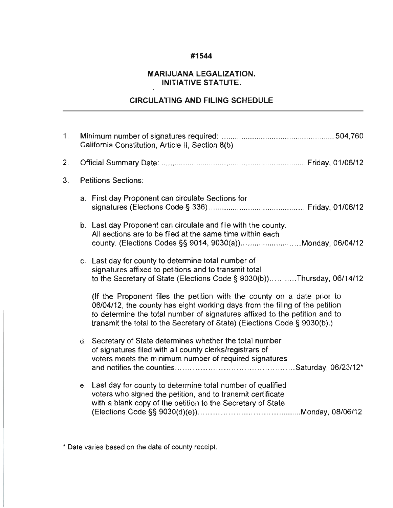#### **#1544**

#### **MARIJUANA LEGALIZATION. INITIATIVE STATUTE.**

#### **CIRCULATING AND FILING SCHEDULE**

| $1_{-}$        | California Constitution, Article II, Section 8(b) |                                                                                                                                                                                                                                                                                                                   |
|----------------|---------------------------------------------------|-------------------------------------------------------------------------------------------------------------------------------------------------------------------------------------------------------------------------------------------------------------------------------------------------------------------|
| 2.             |                                                   |                                                                                                                                                                                                                                                                                                                   |
| 3 <sub>1</sub> | <b>Petitions Sections:</b>                        |                                                                                                                                                                                                                                                                                                                   |
|                |                                                   | a. First day Proponent can circulate Sections for                                                                                                                                                                                                                                                                 |
|                |                                                   | b. Last day Proponent can circulate and file with the county.<br>All sections are to be filed at the same time within each<br>county. (Elections Codes §§ 9014, 9030(a))Monday, 06/04/12                                                                                                                          |
|                |                                                   | c. Last day for county to determine total number of<br>signatures affixed to petitions and to transmit total<br>to the Secretary of State (Elections Code § 9030(b))Thursday, 06/14/12                                                                                                                            |
|                |                                                   | (If the Proponent files the petition with the county on a date prior to<br>06/04/12, the county has eight working days from the filing of the petition<br>to determine the total number of signatures affixed to the petition and to<br>transmit the total to the Secretary of State) (Elections Code § 9030(b).) |
|                |                                                   | d. Secretary of State determines whether the total number<br>of signatures filed with all county clerks/registrars of<br>voters meets the minimum number of required signatures                                                                                                                                   |
|                |                                                   | e. Last day for county to determine total number of qualified<br>voters who signed the petition, and to transmit certificate<br>with a blank copy of the petition to the Secretary of State                                                                                                                       |

\* Date varies based on the date of county receipt.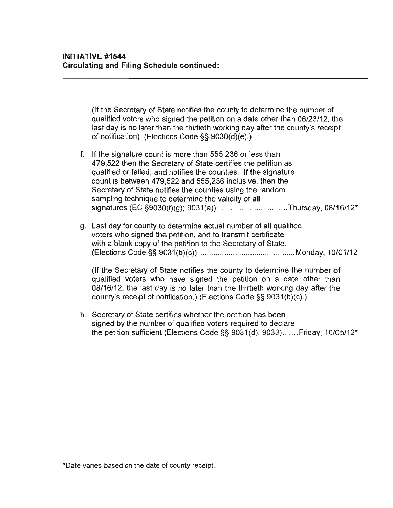(If the Secretary of State notifies the county to determine the number of qualified voters who signed the petition on a date other than 06/23/12, the last day is no later than the thirtieth working day after the county's receipt of notification). (Elections Code§§ 9030(d)(e).)

- f. If the signature count is more than 555,236 or less than 479,522 then the Secretary of State certifies the petition as qualified or failed, and notifies the counties. If the signature count is between 479,522 and 555,236 inclusive, then the Secretary of State notifies the counties using the random sampling technique to determine the validity of **all**  signatures (EC §9030(f)(g); 9031 (a)) ................................ Thursday, 08/16/12\*
- g. Last day for county to determine actual number of all qualified voters who signed the petition, and to transmit certificate with a blank copy of the petition to the Secretary of State. (Elections Code§§ 9031(b)(c)) .......... ................................... Monday, 10/01/12

(If the Secretary of State notifies the county to determine the number of qualified voters who have signed the petition on a date other than 08/16/12, the last day is no later than the thirtieth working day after the county's receipt of notification.) (Elections Code§§ 9031(b)(c).)

h. Secretary of State certifies whether the petition has been signed by the number of qualified voters required to declare the petition sufficient (Elections Code§§ 9031(d), 9033) ....... Friday, 10/05/12\*

\*Date varies based on the date of county receipt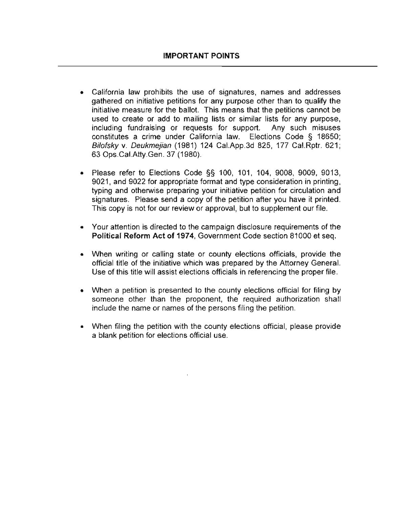- California law prohibits the use of signatures, names and addresses gathered on initiative petitions for any purpose other than to qualify the initiative measure for the ballot. This means that the petitions cannot be used to create or add to mailing lists or similar lists for any purpose, including fundraising or requests for support. Any such misuses constitutes a crime under California law. Elections Code § 18650; Bilofsky v. Deukmejian (1981) 124 Cai.App.3d 825, 177 Cai.Rptr. 621; 63 Ops.Cai.Atty.Gen. 37 (1980).
- Please refer to Elections Code §§ 100, 101, 104, 9008, 9009, 9013, 9021, and 9022 for appropriate format and type consideration in printing, typing and otherwise preparing your initiative petition for circulation and signatures. Please send a copy of the petition after you have it printed. This copy is not for our review or approval, but to supplement our file.
- Your attention is directed to the campaign disclosure requirements of the **Political Reform Act of 1974,** Government Code section 81000 et seq.
- When writing or calling state or county elections officials, provide the official title of the initiative which was prepared by the Attorney General. Use of this title will assist elections officials in referencing the proper file.
- When a petition is presented to the county elections official for filing by someone other than the proponent, the required authorization shall include the name or names of the persons filing the petition.
- When filing the petition with the county elections official, please provide a blank petition for elections official use.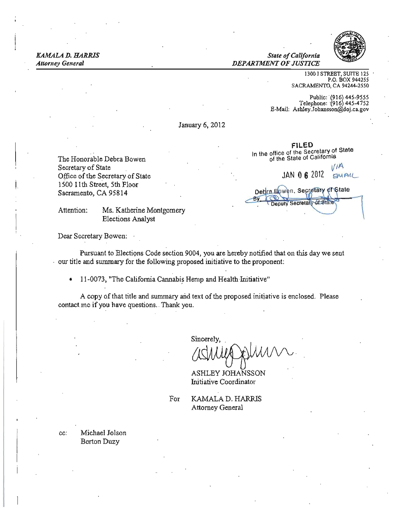**KAMALA D. HARRIS State of California** *Attorney General* DEPARTMENT OF JUSTICE



1300 I STREET, SUITE 125 P.O. BOX 944255 SACRAMENTO, CA 94244-2550

Public: '(916) 445-9555 Telephone: ·(916) 445-4152 E-Mail: Ashley.Johansson@doj.ca.gov

**fiLED**  In the office of the Secretary of State

Detira Bowen, Secretary of State Deputy Secretary of Sta

January 6, 2012

The Honorable Debra Bowen 1500 11th Street, 5th Floor Sacramento, CA 95814

Attention: Ms. Katherine Montgomery Elections Analyst

Dear Secretary Bowen:

Pursuant to Elections Code section 9004, you are hereby notified that on this day we sent · our title and summary for the following proposed initiative to the proponent:

• 11-0073, "The California Cannabis Hemp and Health Initiative"

A copy of that title and summary and text of the proposed initiative is enclosed. Please contact.me if you have questions. Thank you.

> Sincerely,  $\lambda$ A $\wedge$

ASHLEY JOHANSSON Initiative Coordinator

For KAMALA D. HARRIS Attorney General

cc: Michael Jolson Berton Duzy

of the State of California Secretary of State  $V^{1/2}$ Office of the Secretary of State  $JAN = 0.62012$  SMA-IL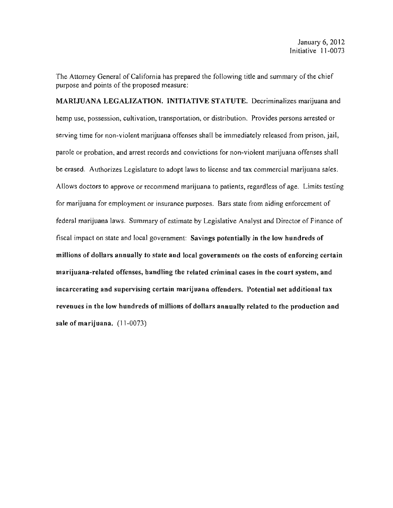The Attorney General of California has prepared the following title and summary of the chief purpose and points of the proposed measure:

MARIJUANA LEGALIZATION. INITIATIVE STATUTE. Decriminalizes marijuana and hemp use, possession, cultivation, transportation, or distribution. Provides persons arrested or serving time for non-violent marijuana offenses shall be immediately released from prison, jail, parole or probation, and arrest records and convictions for non-violent marijuana offenses shall be erased. Authorizes Legislature to adopt laws to license and tax commercial marijuana sales. Allows doctors to approve or recommend marijuana to patients, regardless of age. Limits testing for marijuana for employment or insurance purposes. Bars state from aiding enforcement of federal marijuana laws. Summary of estimate by Legislative Analyst and Director of Finance of fiscal impact on state and local government: Savings potentially in the low hundreds of millions of dollars annually to state and local governments on the costs of enforcing certain marijuana-related offenses, handling the related criminal cases in the court system, and incarcerating and supervising certain marijuana offenders. Potential net additional tax revenues in the low hundreds of millions of dollars annually related to the production and sale of marijuana. (11-0073)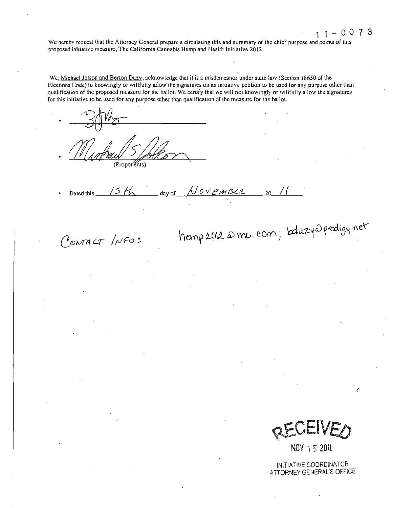We hereby request that the Anorney General prepare a circulating title and summary of the chief purpose and points of this proposed initiative measure, The California Cannabis Hemp and Health 'Initiative 2012.

We, Michael Jolson and Berton Duzy, acknowledge that it is a misdemeanor under state law (Section 18650 of the Elections Code) to knowingly or willfully allow the signatures on an initiative petition to be used for any purpose other than qualification of the proposed measure for the ballot. We certify that we will not knowingly or willfully allow the signatures for this initiative to be used for any purpose other than qualification of the measure for the ballot.

(Proponents)

Dated this  $\int SH_1$  day of  $\int U \circ V \, \ell m \, \beta \ell \ell$ , 20

CONTACT INFO:

hemp 2012 @ me. com; betuzy@prodigy net

QECEIVEO

NOV 1 5 2011

INITIATIVE COORDINATOR ATTORNEY GENERAL'S OFFICE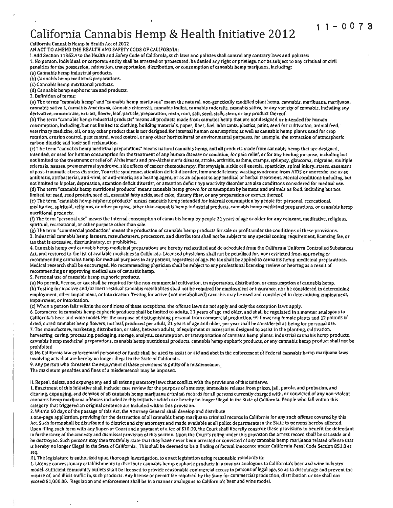# **11-0073 California Cannabis Hemp & Health. Initiative 2012**

California Cannabis Hemp & Health Act of 2012

AN ACT TO AMEND THE HEALTH AND SAFETY CODE OF CALIFORNIA:

1. Add Section 11362.4 to the Health and Safety Code of California, such laws and policies shall control any contrary laws and policies: 1. No person, Individual, or corporate entity shall be arrested or prosecuted, be denied any right or privilege, nor be subject to any criminal or civil penalties for the possession, cultivation, transportation, distribution, or consumption of cannabis hemp marijuana, Including:

(a) Cannabis hemp industrial products.

(b) Cannabis hemp medicinal preparations.

(c) Cannabis hemp nutritional products.

(d) Cannabis hemp euphoric use and products.

2. Definition of terms:

(a) The terms "cannabis hemp" and "cannabis hemp marijuana• mean the natural, non-genetically modified plant hemp, cannabis, marihuana, marijuana, cannabis sativa L, cannabis Americana, cannabis chinensis, cannabis indica, cannabis ruderalis. cannabis sativa. or any variety of cannabis, including any derivative, concentrate, extract, flower, leaf, particle, preparation, resin. root, salt, seed, stalk. stem, or any product thereof.

(b) The term •cannabis hemp industrial products" means all products made from cannabis hemp that are not designed or Intended for human consumption, Including, but not limited to: clothing, building materials, paper, fiber, fuel, lubricants, plastics, paint, seed for cultivation, animal feed; veterinary medicine, oil, or any other product that is not designed for internal human consumption; as well as cannabis hemp plants used for crop rotation, erosion control, pest control, weed control, or any other horticultural or environmental purposes, for example, the extraction of atmospheric carbon dioxide and toxic soil reclamation.

(c) The term "cannabis hemp medicinal preparations• means natural cannabis hemp, and all products made from cannabis hemp that are designed, intended, or used for human consumption for the treatment of any human disease or condition, for pain relief, or for any healing purpose, including but not limited to the treatment or relief of: Alzheimer's and pre-Aizheimer's disease, stroke, arthritis, asthma, cramps, epilepsy, glaucoma, migraine, multiple sclerosis, nausea, premenstrual syndrome, side effects of cancer chemotherapy, flbromyaigia, sickle cell anemia, spasticity, spinal injury, stress. easement of post-traumatic stress disorder, Tourette syndrome, attention deficit disorder, Immunodeficiency, wasting syndrome from AIDS or anorexia; use as an antibiotic, antibacterial, anti-viral, or anti-emetic; as a healing agent. or as an adjunct to any medical or herbal treatment Mental conditions Including. but not limited to bipolar. depression, attention deficit disorder, or attention deficit hyperactivity disorder are also conditions considered for medical use. (d) The term •cannabis hemp nutritional products" means cannabis hemp grown for consumption by humans and animals as food, Including but not limited to: seed, seed protein, seed oil, essential fatty acids, seed cake, dietary fiber, or any preparation or extract thereof.

(e) The term •cannabis hemp euphoric products• means cannabis hemp Intended for Internal consumption by people for personal, recreational, meditative, spiritual, religious, or other purpose, other than cannabis hemp Industrial products, cannabis hemp medicinal preparations, or cannabis hemp nutritional products.

(f) The term "personal use" means the internal consumption of cannabis hemp by people 21 years of age or older for any relaxant, meditative, religious, spiritual, recreational, or other purpose other than sale.

(g) The term "commercial production" means the production of cannabis hemp products for sale or profit under the conditions of these provisions. 3.1ndustrial cannabis hemp farmers, manufacturers, processors, and distributors shall not be subject to any special zoning requirement, licensing fee, or tax that Is excessive, discriminatory, or prohibitive.

4. Cannabis hemp and cannabis hemp medicinal preparations are hereby reclassified and de-scheduled from the Callfornia Uniform Controlled Substances Act, and restored to the list of available medicines In California. Licensed physicians shall not be penalized for, nor restricted from approving or recommending cannabis hemp for medical purposes to any patient, regardless ofage. No taX shall be applied to cannabis hemp medicinal preparations. Medical research shall be encouraged. No recommending physician shall be subject to any professional licensing review or hearing as a result of recommending or approving medical use of cannabis hemp.

S. Personal use of cannabis hemp euphoric products.

(a) No permit. license, or taX shall be required for the non-commercial cultivation, transportation, distribution, or consumption of cannabis hemp. (b) Testing for Inactive and/or inert residual cannabis metabolites shall not be required for employment or insurance, nor be considered in determining

employment, other impairment. or intoxication. Testing for active (not metabolized) cannabis may be used and considered in determining employment, Impairment, or intoxication.

(c) When a person falls within the conditions of these exceptions, the offense laws do not apply and only the exception laws apply.

6. Commerce in cannabis hemp euphoric prQducts shall be limited to adults, 21 years of age and older, and shall be regulated in a manner analogous to California's beer and wine model. For the purpose of distinguishing personal from commercial production, 99 flowering female plants and 12 pounds of dried, cured cannabis hemp flowers, not leaf, produced per adult, 21 years of age and older, per year shall be considered as being for personal use. 7. The manufacture, marketing, distribution, or sales, between adults, of equipment or accessories designed to assist In the planting. cultivation, harvesting. curing, processing. packaging. storage, analysis, consumption. or transportation of cannabis hemp plants, industrial cannabis hemp products, cannabis hemp medicinal preparations. cannabis hemp nutritional products, cannabis hemp euphoric products, or any cannabis hemp product shall not be prohibited.

8. No California law enforcement personnel or funds shall be used to assist or aid and abet in the enforcement of Federal cannabis hemp marijuana laws involving acts that are hereby no longer illegal in the State of California.

9. Any person who threatens the enjoyment of these provisions is guilty of a misdemeanor.

The maximum penalties and fines of a misdemeanor may be imposed.

11. Repeal, delete, and expunge any and all existing statutory laws that conflict with the provisions of this initiative.

1. Enactment of this Initiative shall include: case review for the purpose of amnesty, immediate release from prison, jail, parole, and probation, and clearing, expunging, and deletion of all cannabis hemp marijuana criminal records for all persons currently charged with, or convicted of any non-violent cannabis hemp marijuana offenses included in this initiative which are hereby no longer illegal in the State of California. People who fall within this category that triggered an original sentence are included within this provision.

2. Within 60 days of the passage of this Act, the Attorney General shall develop and distribute

a one-page application, providing for the destruction of all cannabis hemp marijuana criminal records in Callfornia for any such offense covered by this Act Such forms shall be distributed to district and city attorneys and made available atall police departments In the State to persons hereby affected. Upon filing such form with any Superior Court and a payment of a fee of \$10.00, the Court shall liberally construe these provisions to benefit the defendant in furtherance of the amnesty and dismissal provision of this section Upon the Court's ruling under this provision the arrest record shall be set aside and be destroyed. Such persons may then truthfully state that they have never been arrested or convicted of any cannabis hemp marijuana related offense that is hereby no longer illegal in the State of California .. This shall be deemed to be a finding of factual innocence under California Penal Code Section 851.8 et seq.

III. The legislature is authorized upon thorough Investigation, to enact legislation using reasonable standards to:

1. License concessionary establishments to distribute cannabis hemp euphoric products in a manner analogous to Callfornia's beer and wine industry model. Sufficient community outlets shall be licensed to provide reasonable commercial access to persons oflegal age, so as to discourage and prevent the misuse of, and illicit traffic in, such products. Any license or permit fee required by the State for commercial production, distribution or use shall not exceed \$1,000.00. Regulation and enforcement shall be in a manner analogous to California's beer and wine model.